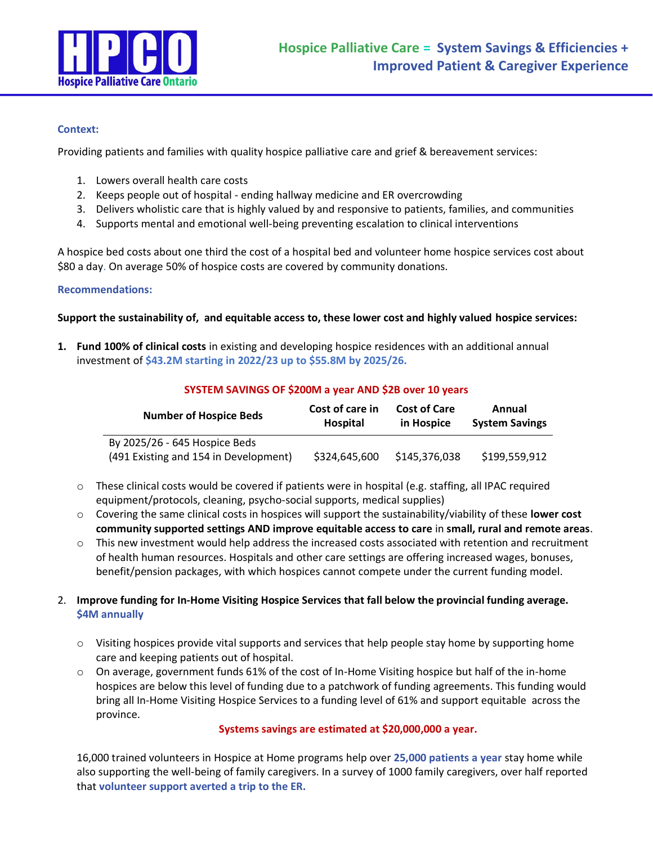

## **Context:**

Providing patients and families with quality hospice palliative care and grief & bereavement services:

- 1. Lowers overall health care costs
- 2. Keeps people out of hospital ending hallway medicine and ER overcrowding
- 3. Delivers wholistic care that is highly valued by and responsive to patients, families, and communities
- 4. Supports mental and emotional well-being preventing escalation to clinical interventions

A hospice bed costs about one third the cost of a hospital bed and volunteer home hospice services cost about \$80 a day. On average 50% of hospice costs are covered by community donations.

## **Recommendations:**

## **Support the sustainability of, and equitable access to, these lower cost and highly valued hospice services:**

**1. Fund 100% of clinical costs** in existing and developing hospice residences with an additional annual investment of **\$43.2M starting in 2022/23 up to \$55.8M by 2025/26.**

## **SYSTEM SAVINGS OF \$200M a year AND \$2B over 10 years**

| <b>Number of Hospice Beds</b>                                          | Cost of care in | <b>Cost of Care</b> | Annual                |
|------------------------------------------------------------------------|-----------------|---------------------|-----------------------|
|                                                                        | <b>Hospital</b> | in Hospice          | <b>System Savings</b> |
| By 2025/26 - 645 Hospice Beds<br>(491 Existing and 154 in Development) | \$324,645,600   | \$145,376,038       | \$199,559,912         |

- o These clinical costs would be covered if patients were in hospital (e.g. staffing, all IPAC required equipment/protocols, cleaning, psycho-social supports, medical supplies)
- o Covering the same clinical costs in hospices will support the sustainability/viability of these **lower cost community supported settings AND improve equitable access to care** in **small, rural and remote areas**.
- $\circ$  This new investment would help address the increased costs associated with retention and recruitment of health human resources. Hospitals and other care settings are offering increased wages, bonuses, benefit/pension packages, with which hospices cannot compete under the current funding model.

# 2. **Improve funding for In-Home Visiting Hospice Services that fall below the provincial funding average. \$4M annually**

- $\circ$  Visiting hospices provide vital supports and services that help people stay home by supporting home care and keeping patients out of hospital.
- $\circ$  On average, government funds 61% of the cost of In-Home Visiting hospice but half of the in-home hospices are below this level of funding due to a patchwork of funding agreements. This funding would bring all In-Home Visiting Hospice Services to a funding level of 61% and support equitable across the province.

## **Systems savings are estimated at \$20,000,000 a year.**

16,000 trained volunteers in Hospice at Home programs help over **25,000 patients a year** stay home while also supporting the well-being of family caregivers. In a survey of 1000 family caregivers, over half reported that **volunteer support averted a trip to the ER.**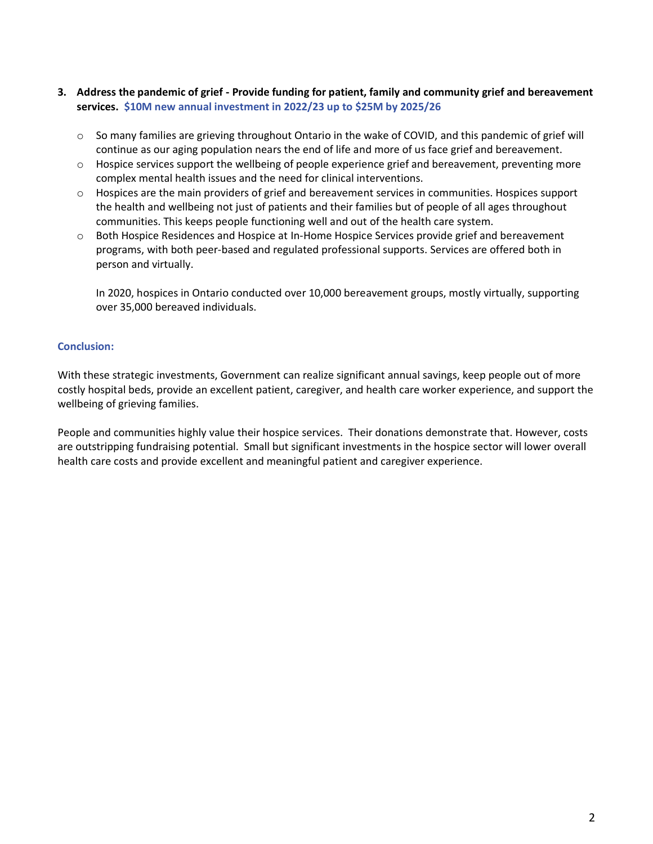## **3. Address the pandemic of grief - Provide funding for patient, family and community grief and bereavement services. \$10M new annual investment in 2022/23 up to \$25M by 2025/26**

- o So many families are grieving throughout Ontario in the wake of COVID, and this pandemic of grief will continue as our aging population nears the end of life and more of us face grief and bereavement.
- o Hospice services support the wellbeing of people experience grief and bereavement, preventing more complex mental health issues and the need for clinical interventions.
- o Hospices are the main providers of grief and bereavement services in communities. Hospices support the health and wellbeing not just of patients and their families but of people of all ages throughout communities. This keeps people functioning well and out of the health care system.
- o Both Hospice Residences and Hospice at In-Home Hospice Services provide grief and bereavement programs, with both peer-based and regulated professional supports. Services are offered both in person and virtually.

In 2020, hospices in Ontario conducted over 10,000 bereavement groups, mostly virtually, supporting over 35,000 bereaved individuals.

## **Conclusion:**

With these strategic investments, Government can realize significant annual savings, keep people out of more costly hospital beds, provide an excellent patient, caregiver, and health care worker experience, and support the wellbeing of grieving families.

People and communities highly value their hospice services. Their donations demonstrate that. However, costs are outstripping fundraising potential. Small but significant investments in the hospice sector will lower overall health care costs and provide excellent and meaningful patient and caregiver experience.